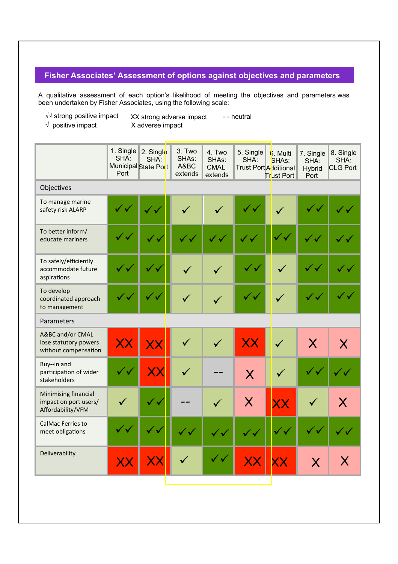## **Fisher Associates' Assessment of options against objectives and parameters**

A qualitative assessment of each option's likelihood of meeting the objectives and parameters was been undertaken by Fisher Associates, using the following scale:

O

√√ strong positive impact XX strong adverse impact - - neutral

√ positive impact X adverse impact

|                                                                    | 1. Single<br>SHA:<br>Port | 2. Single<br>SHA:<br>Municipal State Port        | 3. Two<br>SHAs:<br>A&BC<br>extends | 4. Two<br>SHAs:<br><b>CMAL</b><br>extends | 5. Single<br>SHA:<br>Trust Port Additional | 6. Multi<br>SHAs:<br><b>Trust Port</b> | 7. Single<br>SHA:<br>Hybrid<br>Port | 8. Single<br>SHA:<br><b>CLG Port</b> |
|--------------------------------------------------------------------|---------------------------|--------------------------------------------------|------------------------------------|-------------------------------------------|--------------------------------------------|----------------------------------------|-------------------------------------|--------------------------------------|
| Objectives                                                         |                           |                                                  |                                    |                                           |                                            |                                        |                                     |                                      |
| To manage marine<br>safety risk ALARP                              |                           |                                                  |                                    |                                           |                                            |                                        |                                     |                                      |
| To better inform/<br>educate mariners                              |                           |                                                  |                                    |                                           |                                            |                                        |                                     |                                      |
| To safely/efficiently<br>accommodate future<br>aspirations         |                           | ✓∨                                               |                                    |                                           | $\checkmark$ $\checkmark$                  |                                        |                                     | ์√                                   |
| To develop<br>coordinated approach<br>to management                |                           | $\checkmark$                                     | $\checkmark$                       |                                           | $\checkmark$ $\checkmark$                  | $\checkmark$                           |                                     | $^\prime$ $\checkmark$               |
| Parameters                                                         |                           |                                                  |                                    |                                           |                                            |                                        |                                     |                                      |
| A&BC and/or CMAL<br>lose statutory powers<br>without compensation  | XX                        |                                                  |                                    | $\checkmark$                              | XX                                         | $\checkmark$                           | $\overline{\mathsf{X}}$             | $\boldsymbol{\mathsf{X}}$            |
| Buy--in and<br>participation of wider<br>stakeholders              |                           | $\sf XX$                                         |                                    |                                           | X                                          |                                        |                                     |                                      |
| Minimising financial<br>impact on port users/<br>Affordability/VFM |                           | $\checkmark$ v                                   |                                    |                                           | $\overline{\mathsf{X}}$                    | XX                                     | $\checkmark$                        | $\bm{\mathsf{X}}$                    |
| CalMac Ferries to<br>meet obligations                              |                           | ั้ง                                              | $\checkmark$                       | $\checkmark$                              |                                            | $\checkmark$ $\checkmark$              |                                     | $\checkmark$ $\checkmark$            |
| Deliverability                                                     | XХ                        | $\boldsymbol{\mathsf{X}}\boldsymbol{\mathsf{X}}$ |                                    | $\checkmark$                              |                                            |                                        | $\overline{\mathsf{X}}$             | X                                    |